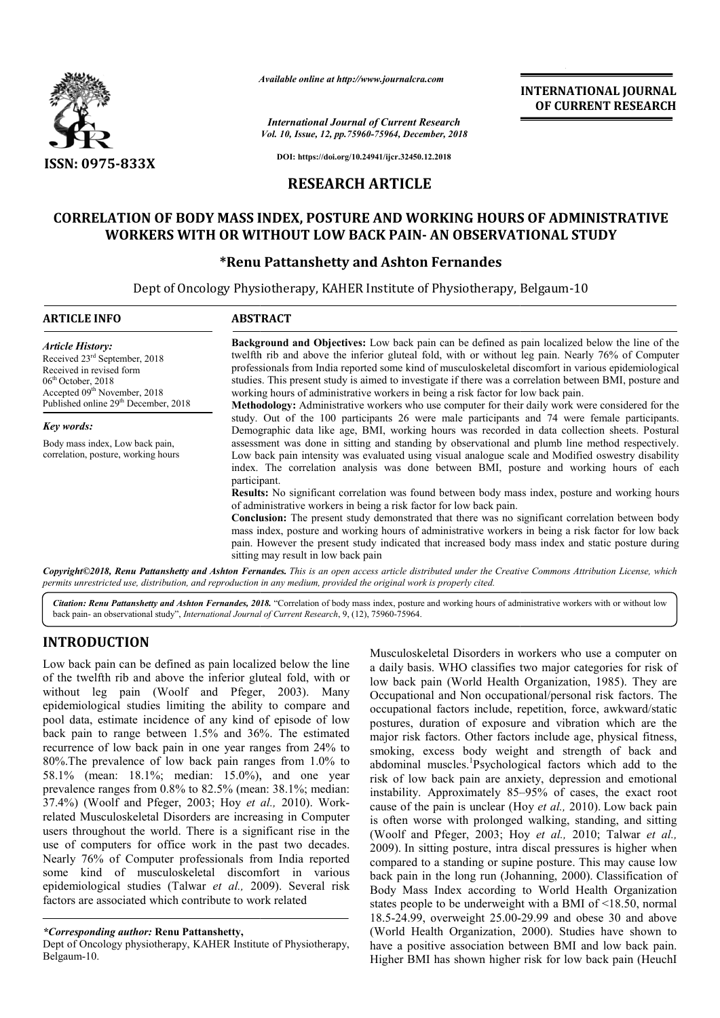

*Available online at http://www.journalcra.com*

*International Journal of Current Research Vol. 10, Issue, 12, pp.75960-75964, December, 2018* **INTERNATIONAL JOURNAL OF CURRENT RESEARCH**

**DOI: https://doi.org/10.24941/ijcr.32450.12.2018**

## **RESEARCH ARTICLE**

# **CORRELATION OF BODY MASS INDEX, POSTURE AND WORKING HOURS OF ADMINISTRATIVE WORKERS WITH OR WITHOUT LOW BACK PAIN PAIN- AN OBSERVATIONAL STUDY POSTURE AND OBSERVATIONAL STUDY**

## **\*Renu Pattanshetty and Ashton Fernandes Renu**

Dept of Oncology Physiotherapy Physiotherapy, KAHER Institute of Physiotherapy, Belgaum Belgaum-10

| <b>ARTICLE INFO</b>                                                                                                                                                                                                      | <b>ABSTRACT</b>                                                                                                                                                                                                                                                                                                                                                                                                                                                                                                                                                                                                                                                                                                                                                                                                                                                     |  |  |
|--------------------------------------------------------------------------------------------------------------------------------------------------------------------------------------------------------------------------|---------------------------------------------------------------------------------------------------------------------------------------------------------------------------------------------------------------------------------------------------------------------------------------------------------------------------------------------------------------------------------------------------------------------------------------------------------------------------------------------------------------------------------------------------------------------------------------------------------------------------------------------------------------------------------------------------------------------------------------------------------------------------------------------------------------------------------------------------------------------|--|--|
| <b>Article History:</b><br>Received 23 <sup>rd</sup> September, 2018<br>Received in revised form<br>$06th$ October, 2018<br>Accepted 09 <sup>th</sup> November, 2018<br>Published online 29 <sup>th</sup> December, 2018 | <b>Background and Objectives:</b> Low back pain can be defined as pain localized below the line of the<br>twelfth rib and above the inferior gluteal fold, with or without leg pain. Nearly 76% of Computer<br>professionals from India reported some kind of musculoskeletal discomfort in various epidemiological<br>studies. This present study is aimed to investigate if there was a correlation between BMI, posture and<br>working hours of administrative workers in being a risk factor for low back pain.<br>Methodology: Administrative workers who use computer for their daily work were considered for the                                                                                                                                                                                                                                            |  |  |
| Key words:                                                                                                                                                                                                               | study. Out of the 100 participants 26 were male participants and 74 were female participants.<br>Demographic data like age, BMI, working hours was recorded in data collection sheets. Postural                                                                                                                                                                                                                                                                                                                                                                                                                                                                                                                                                                                                                                                                     |  |  |
| Body mass index, Low back pain,<br>correlation, posture, working hours                                                                                                                                                   | assessment was done in sitting and standing by observational and plumb line method respectively.<br>Low back pain intensity was evaluated using visual analogue scale and Modified oswestry disability<br>index. The correlation analysis was done between BMI, posture and working hours of each<br>participant.<br><b>Results:</b> No significant correlation was found between body mass index, posture and working hours<br>of administrative workers in being a risk factor for low back pain.<br><b>Conclusion:</b> The present study demonstrated that there was no significant correlation between body<br>mass index, posture and working hours of administrative workers in being a risk factor for low back<br>pain. However the present study indicated that increased body mass index and static posture during<br>sitting may result in low back pain |  |  |

*Copyright©2018, Renu Pattanshetty and Ashton Fernandes* permits unrestricted use, distribution, and reproduction in any medium, provided the original work is properly cited. *Fernandes. This is an open access article distributed under the Creative Commons Attribution License, which*

Citation: Renu Pattanshetty and Ashton Fernandes, 2018. "Correlation of body mass index, posture and working hours of administrative workers with or without low back pain- an observational study", *International Journal of Current Research* , 9, (12), 75960-75964.

# **INTRODUCTION**

Low back pain can be defined as pain localized below the line of the twelfth rib and above the inferior gluteal fold, with or without leg pain (Woolf and Pfeger, 2003). Many epidemiological studies limiting the ability to compare and pool data, estimate incidence of any kind of episode of low back pain to range between 1.5% and 36%. The estimated recurrence of low back pain in one year ranges from 24% to 80%.The prevalence of low back pain ranges from 1.0% to 58.1% (mean: 18.1%; median: 15.0%), and one year prevalence ranges from 0.8% to 82.5% (mean: 38.1%; median: 37.4%) (Woolf and Pfeger, 2003; Hoy *et al.,*  related Musculoskeletal Disorders are increasing in Computer users throughout the world. There is a significant rise in the use of computers for office work in the past two decades. Nearly 76% of Computer professionals from India reported some kind of musculoskeletal discomfort in various epidemiological studies (Talwar *et al.,* 2009). Several risk factors are associated which contribute to work related ce of low back pain ranges from  $1.0\%$  to  $8.1\%$ ; median:  $15.0\%$ ), and one year from 0.8% to  $82.5\%$  (mean:  $38.1\%$ ; median: de Pfeger,  $2003$ ; Hoy *et al.*,  $2010$ ). Work-

#### *\*Corresponding author:* **Renu Pattanshetty,**

Dept of Oncology physiotherapy, KAHER Institute of Physiotherapy, Belgaum-10.

Musculoskeletal Disorders in workers who use a computer on a daily basis. WHO classifies two major categories for risk of low back pain (World Health Organization, 1985). They are Occupational and Non occupational/personal risk factors. The occupational factors include, repetition, force, awkward/static postures, duration of exposure and vibration which are the major risk factors. Other factors include age, physical fitness, smoking, excess body weight and strength of back and abdominal muscles.<sup>1</sup>Psychologic risk of low back pain are anxiety, depression and emotional risk of low back pain are anxiety, depression and emotional instability. Approximately 85–95% of cases, the exact root cause of the pain is unclear (Hoy *et al.*, 2010). Low back pain is often worse with prolonged walking, standing, and sitting (Woolf and Pfeger, 2003; Hoy *et al.,* 2010; Talwar *et al.,*  2009). In sitting posture, intra discal pressures is higher when compared to a standing or supine posture. This may cause low 2009). In sitting posture, intra discal pressures is higher when compared to a standing or supine posture. This may cause low back pain in the long run (Johanning, 2000). Classification of Body Mass Index according to World Health Organization Body Mass Index according to World Health Organization states people to be underweight with a BMI of  $\leq$ 18.50, normal 18.5-24.99, overweight 25.00-29.99 and obese 30 and above (World Health Organization, 2000). Studies have shown to have a positive association between BMI and low back pain. have a positive association between BMI and low back pain.<br>Higher BMI has shown higher risk for low back pain (HeuchI low back pain (World Health Organization, 1985). They are Occupational and Non occupational/personal risk factors. The occupational factors include, repetition, force, awkward/static postures, duration of exposure and vibr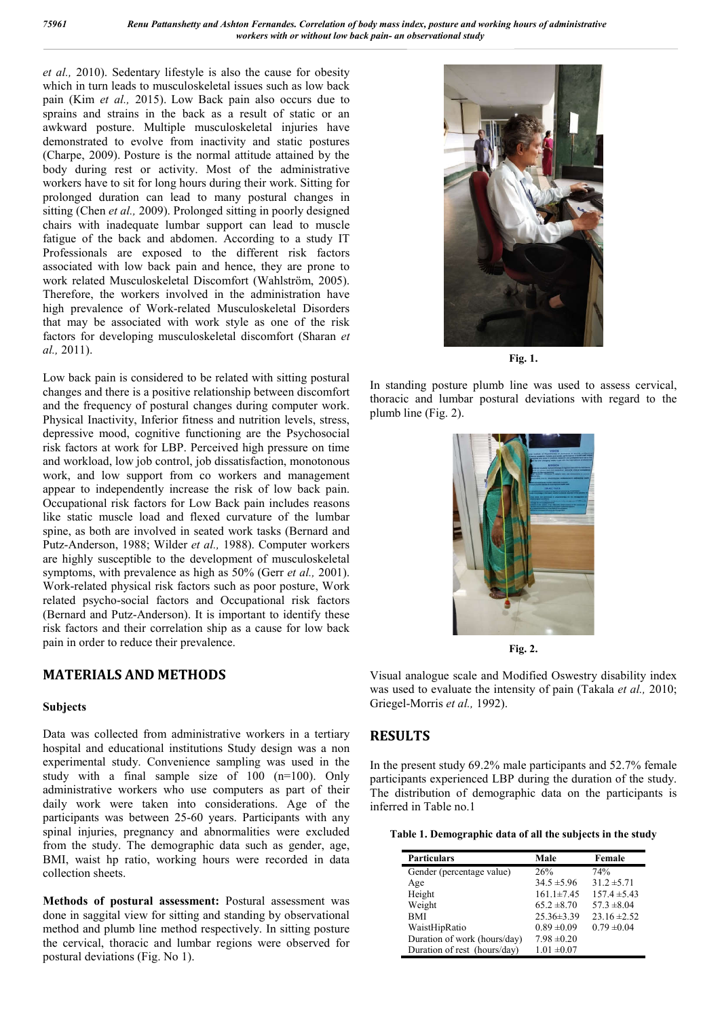*et al.,* 2010). Sedentary lifestyle is also the cause for obesity which in turn leads to musculoskeletal issues such as low back pain (Kim *et al.,* 2015). Low Back pain also occurs due to sprains and strains in the back as a result of static or an awkward posture. Multiple musculoskeletal injuries have demonstrated to evolve from inactivity and static postures (Charpe, 2009). Posture is the normal attitude attained by the body during rest or activity. Most of the administrative workers have to sit for long hours during their work. Sitting for prolonged duration can lead to many postural changes in sitting (Chen *et al.,* 2009). Prolonged sitting in poorly designed chairs with inadequate lumbar support can lead to muscle fatigue of the back and abdomen. According to a study IT Professionals are exposed to the different risk factors associated with low back pain and hence, they are prone to work related Musculoskeletal Discomfort (Wahlström, 2005). Therefore, the workers involved in the administration have high prevalence of Work-related Musculoskeletal Disorders that may be associated with work style as one of the risk factors for developing musculoskeletal discomfort (Sharan *et al.,* 2011).

Low back pain is considered to be related with sitting postural changes and there is a positive relationship between discomfort and the frequency of postural changes during computer work. Physical Inactivity, Inferior fitness and nutrition levels, stress, depressive mood, cognitive functioning are the Psychosocial risk factors at work for LBP. Perceived high pressure on time and workload, low job control, job dissatisfaction, monotonous work, and low support from co workers and management appear to independently increase the risk of low back pain. Occupational risk factors for Low Back pain includes reasons like static muscle load and flexed curvature of the lumbar spine, as both are involved in seated work tasks (Bernard and Putz-Anderson, 1988; Wilder *et al.,* 1988). Computer workers are highly susceptible to the development of musculoskeletal symptoms, with prevalence as high as 50% (Gerr *et al.,* 2001). Work-related physical risk factors such as poor posture, Work related psycho-social factors and Occupational risk factors (Bernard and Putz-Anderson). It is important to identify these risk factors and their correlation ship as a cause for low back pain in order to reduce their prevalence.

## **MATERIALS AND METHODS**

### **Subjects**

Data was collected from administrative workers in a tertiary hospital and educational institutions Study design was a non experimental study. Convenience sampling was used in the study with a final sample size of 100 (n=100). Only administrative workers who use computers as part of their daily work were taken into considerations. Age of the participants was between 25-60 years. Participants with any spinal injuries, pregnancy and abnormalities were excluded from the study. The demographic data such as gender, age, BMI, waist hp ratio, working hours were recorded in data collection sheets.

**Methods of postural assessment:** Postural assessment was done in saggital view for sitting and standing by observational method and plumb line method respectively. In sitting posture the cervical, thoracic and lumbar regions were observed for postural deviations (Fig. No 1).



**Fig. 1.**

In standing posture plumb line was used to assess cervical, thoracic and lumbar postural deviations with regard to the plumb line (Fig. 2).



**Fig. 2.**

Visual analogue scale and Modified Oswestry disability index was used to evaluate the intensity of pain (Takala *et al.,* 2010; Griegel-Morris *et al.,* 1992).

## **RESULTS**

In the present study 69.2% male participants and 52.7% female participants experienced LBP during the duration of the study. The distribution of demographic data on the participants is inferred in Table no.1

| Table 1. Demographic data of all the subjects in the study |  |  |
|------------------------------------------------------------|--|--|
|                                                            |  |  |

| <b>Particulars</b>           | Male             | Female           |
|------------------------------|------------------|------------------|
| Gender (percentage value)    | 26%              | 74%              |
| Age                          | $34.5 \pm 5.96$  | $31.2 \pm 5.71$  |
| Height                       | $161.1 \pm 7.45$ | $157.4 \pm 5.43$ |
| Weight                       | $65.2 \pm 8.70$  | $57.3 \pm 8.04$  |
| <b>BMI</b>                   | $25.36 \pm 3.39$ | $23.16 \pm 2.52$ |
| WaistHipRatio                | $0.89 \pm 0.09$  | $0.79 \pm 0.04$  |
| Duration of work (hours/day) | $7.98 \pm 0.20$  |                  |
| Duration of rest (hours/day) | $1.01 \pm 0.07$  |                  |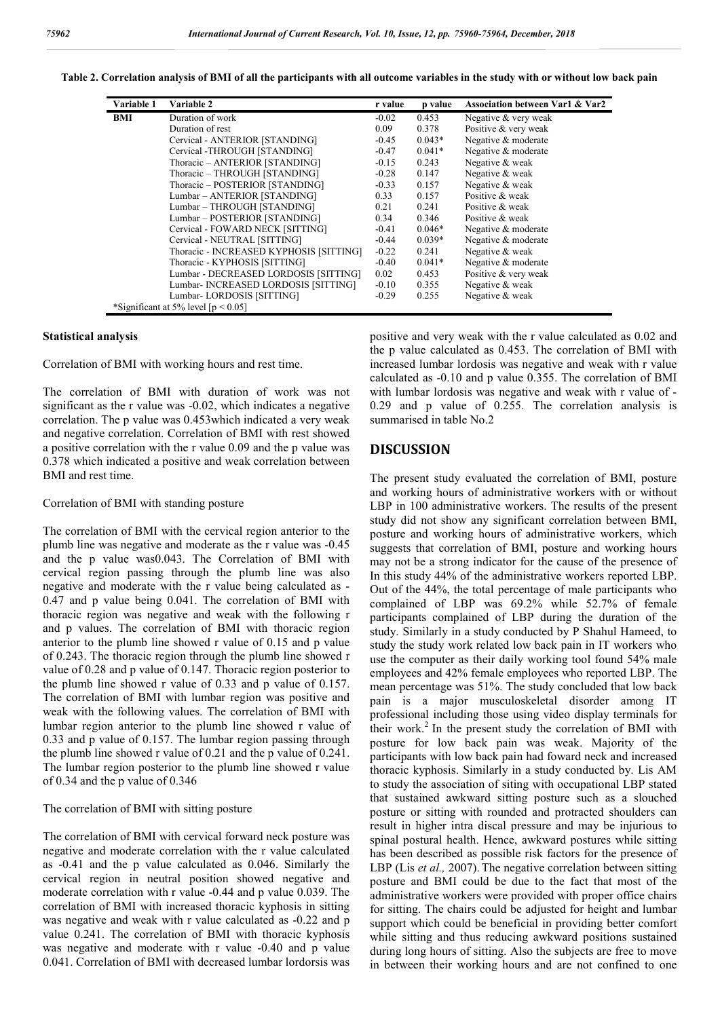| Table 2. Correlation analysis of BMI of all the participants with all outcome variables in the study with or without low back pain |  |
|------------------------------------------------------------------------------------------------------------------------------------|--|
|                                                                                                                                    |  |

| Variable 1 | Variable 2                              | r value | p value  | <b>Association between Var1 &amp; Var2</b> |
|------------|-----------------------------------------|---------|----------|--------------------------------------------|
| BMI        | Duration of work                        | $-0.02$ | 0.453    | Negative & very weak                       |
|            | Duration of rest                        | 0.09    | 0.378    | Positive & very weak                       |
|            | Cervical - ANTERIOR [STANDING]          | $-0.45$ | $0.043*$ | Negative & moderate                        |
|            | Cervical -THROUGH [STANDING]            | $-0.47$ | $0.041*$ | Negative & moderate                        |
|            | Thoracic - ANTERIOR [STANDING]          | $-0.15$ | 0.243    | Negative & weak                            |
|            | Thoracic - THROUGH [STANDING]           | $-0.28$ | 0.147    | Negative & weak                            |
|            | Thoracic - POSTERIOR [STANDING]         | $-0.33$ | 0.157    | Negative & weak                            |
|            | Lumbar - ANTERIOR [STANDING]            | 0.33    | 0.157    | Positive & weak                            |
|            | Lumbar - THROUGH [STANDING]             | 0.21    | 0.241    | Positive & weak                            |
|            | Lumbar - POSTERIOR [STANDING]           | 0.34    | 0.346    | Positive & weak                            |
|            | Cervical - FOWARD NECK [SITTING]        | $-0.41$ | $0.046*$ | Negative & moderate                        |
|            | Cervical - NEUTRAL [SITTING]            | $-0.44$ | $0.039*$ | Negative & moderate                        |
|            | Thoracic - INCREASED KYPHOSIS [SITTING] | $-0.22$ | 0.241    | Negative & weak                            |
|            | Thoracic - KYPHOSIS [SITTING]           | $-0.40$ | $0.041*$ | Negative & moderate                        |
|            | Lumbar - DECREASED LORDOSIS [SITTING]   | 0.02    | 0.453    | Positive & very weak                       |
|            | Lumbar- INCREASED LORDOSIS [SITTING]    | $-0.10$ | 0.355    | Negative & weak                            |
|            | Lumbar-LORDOSIS [SITTING]               | $-0.29$ | 0.255    | Negative & weak                            |
|            | *Significant at 5% level $[p < 0.05]$   |         |          |                                            |

#### **Statistical analysis**

Correlation of BMI with working hours and rest time.

The correlation of BMI with duration of work was not significant as the r value was -0.02, which indicates a negative correlation. The p value was 0.453which indicated a very weak and negative correlation. Correlation of BMI with rest showed a positive correlation with the r value 0.09 and the p value was 0.378 which indicated a positive and weak correlation between BMI and rest time.

#### Correlation of BMI with standing posture

The correlation of BMI with the cervical region anterior to the plumb line was negative and moderate as the r value was -0.45 and the p value was0.043. The Correlation of BMI with cervical region passing through the plumb line was also negative and moderate with the r value being calculated as - 0.47 and p value being 0.041. The correlation of BMI with thoracic region was negative and weak with the following r and p values. The correlation of BMI with thoracic region anterior to the plumb line showed r value of 0.15 and p value of 0.243. The thoracic region through the plumb line showed r value of 0.28 and p value of 0.147. Thoracic region posterior to the plumb line showed r value of 0.33 and p value of 0.157. The correlation of BMI with lumbar region was positive and weak with the following values. The correlation of BMI with lumbar region anterior to the plumb line showed r value of 0.33 and p value of 0.157. The lumbar region passing through the plumb line showed r value of 0.21 and the p value of 0.241. The lumbar region posterior to the plumb line showed r value of 0.34 and the p value of 0.346

#### The correlation of BMI with sitting posture

The correlation of BMI with cervical forward neck posture was negative and moderate correlation with the r value calculated as -0.41 and the p value calculated as 0.046. Similarly the cervical region in neutral position showed negative and moderate correlation with r value -0.44 and p value 0.039. The correlation of BMI with increased thoracic kyphosis in sitting was negative and weak with r value calculated as -0.22 and p value 0.241. The correlation of BMI with thoracic kyphosis was negative and moderate with r value -0.40 and p value 0.041. Correlation of BMI with decreased lumbar lordorsis was

positive and very weak with the r value calculated as 0.02 and the p value calculated as 0.453. The correlation of BMI with increased lumbar lordosis was negative and weak with r value calculated as -0.10 and p value 0.355. The correlation of BMI with lumbar lordosis was negative and weak with r value of - 0.29 and p value of 0.255. The correlation analysis is summarised in table No.2

#### **DISCUSSION**

The present study evaluated the correlation of BMI, posture and working hours of administrative workers with or without LBP in 100 administrative workers. The results of the present study did not show any significant correlation between BMI, posture and working hours of administrative workers, which suggests that correlation of BMI, posture and working hours may not be a strong indicator for the cause of the presence of In this study 44% of the administrative workers reported LBP. Out of the 44%, the total percentage of male participants who complained of LBP was 69.2% while 52.7% of female participants complained of LBP during the duration of the study. Similarly in a study conducted by P Shahul Hameed, to study the study work related low back pain in IT workers who use the computer as their daily working tool found 54% male employees and 42% female employees who reported LBP. The mean percentage was 51%. The study concluded that low back pain is a major musculoskeletal disorder among IT professional including those using video display terminals for their work.<sup>2</sup> In the present study the correlation of BMI with posture for low back pain was weak. Majority of the participants with low back pain had foward neck and increased thoracic kyphosis. Similarly in a study conducted by. Lis AM to study the association of siting with occupational LBP stated that sustained awkward sitting posture such as a slouched posture or sitting with rounded and protracted shoulders can result in higher intra discal pressure and may be injurious to spinal postural health. Hence, awkward postures while sitting has been described as possible risk factors for the presence of LBP (Lis *et al.*, 2007). The negative correlation between sitting posture and BMI could be due to the fact that most of the administrative workers were provided with proper office chairs for sitting. The chairs could be adjusted for height and lumbar support which could be beneficial in providing better comfort while sitting and thus reducing awkward positions sustained during long hours of sitting. Also the subjects are free to move in between their working hours and are not confined to one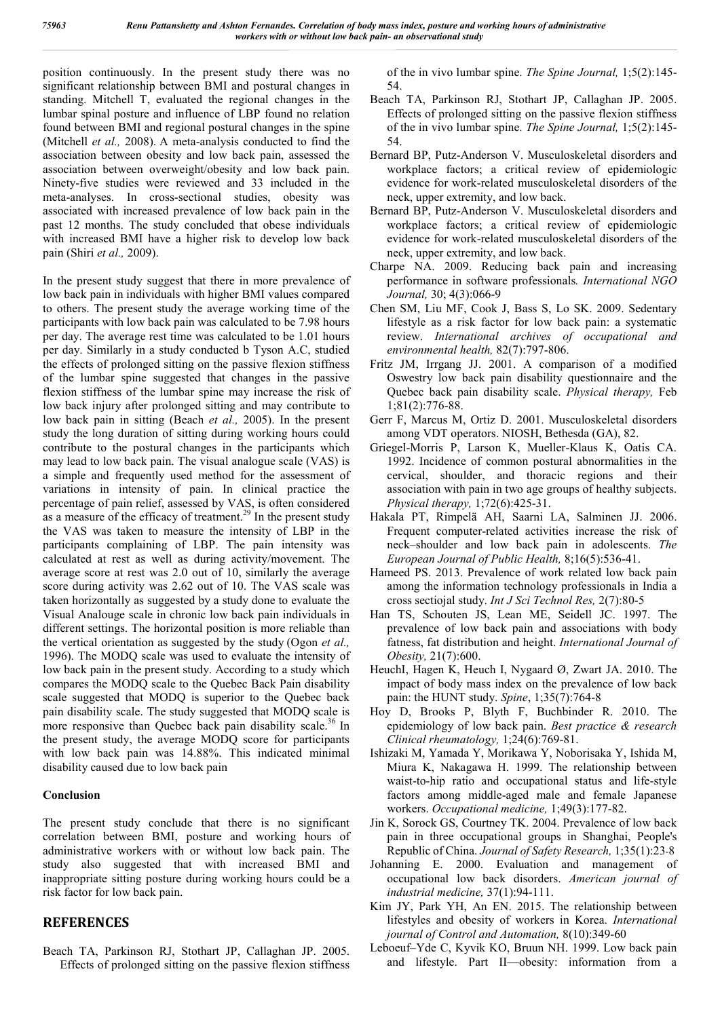position continuously. In the present study there was no significant relationship between BMI and postural changes in standing. Mitchell T, evaluated the regional changes in the lumbar spinal posture and influence of LBP found no relation found between BMI and regional postural changes in the spine (Mitchell *et al.,* 2008). A meta-analysis conducted to find the association between obesity and low back pain, assessed the association between overweight/obesity and low back pain. Ninety-five studies were reviewed and 33 included in the meta-analyses. In cross-sectional studies, obesity was associated with increased prevalence of low back pain in the past 12 months. The study concluded that obese individuals with increased BMI have a higher risk to develop low back pain (Shiri *et al.,* 2009).

In the present study suggest that there in more prevalence of low back pain in individuals with higher BMI values compared to others. The present study the average working time of the participants with low back pain was calculated to be 7.98 hours per day. The average rest time was calculated to be 1.01 hours per day. Similarly in a study conducted b Tyson A.C, studied the effects of prolonged sitting on the passive flexion stiffness of the lumbar spine suggested that changes in the passive flexion stiffness of the lumbar spine may increase the risk of low back injury after prolonged sitting and may contribute to low back pain in sitting (Beach *et al.,* 2005). In the present study the long duration of sitting during working hours could contribute to the postural changes in the participants which may lead to low back pain. The visual analogue scale (VAS) is a simple and frequently used method for the assessment of variations in intensity of pain. In clinical practice the percentage of pain relief, assessed by VAS, is often considered as a measure of the efficacy of treatment.<sup>29</sup> In the present study the VAS was taken to measure the intensity of LBP in the participants complaining of LBP. The pain intensity was calculated at rest as well as during activity/movement. The average score at rest was 2.0 out of 10, similarly the average score during activity was 2.62 out of 10. The VAS scale was taken horizontally as suggested by a study done to evaluate the Visual Analouge scale in chronic low back pain individuals in different settings. The horizontal position is more reliable than the vertical orientation as suggested by the study (Ogon *et al.,*  1996). The MODQ scale was used to evaluate the intensity of low back pain in the present study. According to a study which compares the MODQ scale to the Quebec Back Pain disability scale suggested that MODQ is superior to the Quebec back pain disability scale. The study suggested that MODQ scale is more responsive than Quebec back pain disability scale.<sup>36</sup> In the present study, the average MODQ score for participants with low back pain was 14.88%. This indicated minimal disability caused due to low back pain

### **Conclusion**

The present study conclude that there is no significant correlation between BMI, posture and working hours of administrative workers with or without low back pain. The study also suggested that with increased BMI and inappropriate sitting posture during working hours could be a risk factor for low back pain.

## **REFERENCES**

Beach TA, Parkinson RJ, Stothart JP, Callaghan JP. 2005. Effects of prolonged sitting on the passive flexion stiffness of the in vivo lumbar spine. *The Spine Journal,* 1;5(2):145- 54.

- Beach TA, Parkinson RJ, Stothart JP, Callaghan JP. 2005. Effects of prolonged sitting on the passive flexion stiffness of the in vivo lumbar spine. *The Spine Journal,* 1;5(2):145- 54.
- Bernard BP, Putz-Anderson V. Musculoskeletal disorders and workplace factors; a critical review of epidemiologic evidence for work-related musculoskeletal disorders of the neck, upper extremity, and low back.
- Bernard BP, Putz-Anderson V. Musculoskeletal disorders and workplace factors; a critical review of epidemiologic evidence for work-related musculoskeletal disorders of the neck, upper extremity, and low back.
- Charpe NA. 2009. Reducing back pain and increasing performance in software professionals*. International NGO Journal,* 30; 4(3):066-9
- Chen SM, Liu MF, Cook J, Bass S, Lo SK. 2009. Sedentary lifestyle as a risk factor for low back pain: a systematic review. *International archives of occupational and environmental health,* 82(7):797-806.
- Fritz JM, Irrgang JJ. 2001. A comparison of a modified Oswestry low back pain disability questionnaire and the Quebec back pain disability scale. *Physical therapy,* Feb 1;81(2):776-88.
- Gerr F, Marcus M, Ortiz D. 2001. Musculoskeletal disorders among VDT operators. NIOSH, Bethesda (GA), 82.
- Griegel-Morris P, Larson K, Mueller-Klaus K, Oatis CA. 1992. Incidence of common postural abnormalities in the cervical, shoulder, and thoracic regions and their association with pain in two age groups of healthy subjects. *Physical therapy,* 1;72(6):425-31.
- Hakala PT, Rimpelä AH, Saarni LA, Salminen JJ. 2006. Frequent computer-related activities increase the risk of neck–shoulder and low back pain in adolescents. *The European Journal of Public Health,* 8;16(5):536-41.
- Hameed PS. 2013. Prevalence of work related low back pain among the information technology professionals in India a cross sectiojal study. *Int J Sci Technol Res,* 2(7):80-5
- Han TS, Schouten JS, Lean ME, Seidell JC. 1997. The prevalence of low back pain and associations with body fatness, fat distribution and height. *International Journal of Obesity,* 21(7):600.
- HeuchI, Hagen K, Heuch I, Nygaard Ø, Zwart JA. 2010. The impact of body mass index on the prevalence of low back pain: the HUNT study. *Spine*, 1;35(7):764-8
- Hoy D, Brooks P, Blyth F, Buchbinder R. 2010. The epidemiology of low back pain. *Best practice & research Clinical rheumatology,* 1;24(6):769-81.
- Ishizaki M, Yamada Y, Morikawa Y, Noborisaka Y, Ishida M, Miura K, Nakagawa H. 1999. The relationship between waist-to-hip ratio and occupational status and life-style factors among middle-aged male and female Japanese workers. *Occupational medicine,* 1;49(3):177-82.
- Jin K, Sorock GS, Courtney TK. 2004. Prevalence of low back pain in three occupational groups in Shanghai, People's Republic of China. *Journal of Safety Research,* 1;35(1):23-8
- Johanning E. 2000. Evaluation and management of occupational low back disorders. *American journal of industrial medicine,* 37(1):94-111.
- Kim JY, Park YH, An EN. 2015. The relationship between lifestyles and obesity of workers in Korea. *International journal of Control and Automation,* 8(10):349-60
- Leboeuf–Yde C, Kyvik KO, Bruun NH. 1999. Low back pain and lifestyle. Part II—obesity: information from a